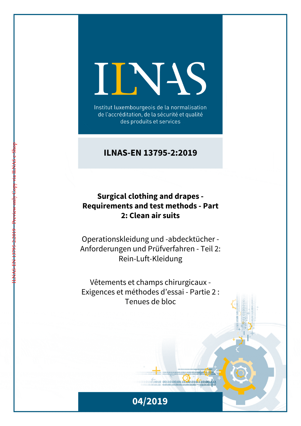# INS

Institut luxembourgeois de la normalisation de l'accréditation, de la sécurité et qualité des produits et services

## **ILNAS-EN 13795-2:2019**

## **Surgical clothing and drapes - Requirements and test methods - Part 2: Clean air suits**

Operationskleidung und -abdecktücher - Anforderungen und Prüfverfahren - Teil 2: Rein-Luft-Kleidung

Vêtements et champs chirurgicaux - Exigences et méthodes d'essai - Partie 2 : Tenues de bloc

ILNAS-EN 13795-2:2019 - Preview only Copy via ILNAS e-Shop



 $1011010010 00110100101101001001101001111$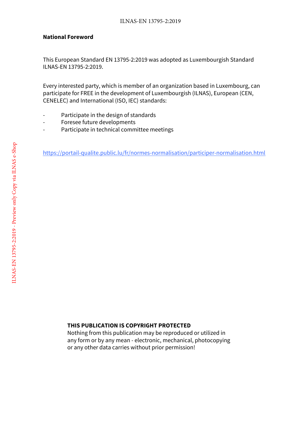#### **National Foreword**

This European Standard EN 13795-2:2019 was adopted as Luxembourgish Standard ILNAS-EN 13795-2:2019.

Every interested party, which is member of an organization based in Luxembourg, can participate for FREE in the development of Luxembourgish (ILNAS), European (CEN, CENELEC) and International (ISO, IEC) standards:

- Participate in the design of standards
- Foresee future developments
- Participate in technical committee meetings

https://portail-qualite.public.lu/fr/normes-normalisation/participer-normalisation.html

### **THIS PUBLICATION IS COPYRIGHT PROTECTED**

Nothing from this publication may be reproduced or utilized in any form or by any mean - electronic, mechanical, photocopying or any other data carries without prior permission!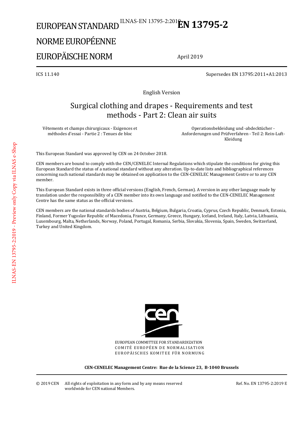## EUROPEAN STANDARD ILNAS-EN 13795-2:201<sup>8</sup>**EN 13795-2**

# NORME EUROPÉENNE

## EUROPÄISCHE NORM

April 2019

ICS 11.140 Supersedes EN 13795:2011+A1:2013

English Version

## Surgical clothing and drapes - Requirements and test methods - Part 2: Clean air suits

Vêtements et champs chirurgicaux - Exigences et méthodes d'essai - Partie 2 : Tenues de bloc

 Operationsbekleidung und -abdecktücher - Anforderungen und Prüfverfahren - Teil 2: Rein-Luft-Kleidung

This European Standard was approved by CEN on 24 October 2018.

CEN members are bound to comply with the CEN/CENELEC Internal Regulations which stipulate the conditions for giving this European Standard the status of a national standard without any alteration. Up-to-date lists and bibliographical references concerning such national standards may be obtained on application to the CEN-CENELEC Management Centre or to any CEN member.

This European Standard exists in three official versions (English, French, German). A version in any other language made by translation under the responsibility of a CEN member into its own language and notified to the CEN-CENELEC Management Centre has the same status as the official versions.

CEN members are the national standards bodies of Austria, Belgium, Bulgaria, Croatia, Cyprus, Czech Republic, Denmark, Estonia, Finland, Former Yugoslav Republic of Macedonia, France, Germany, Greece, Hungary, Iceland, Ireland, Italy, Latvia, Lithuania, Luxembourg, Malta, Netherlands, Norway, Poland, Portugal, Romania, Serbia, Slovakia, Slovenia, Spain, Sweden, Switzerland, Turkey and United Kingdom.



EUROPEAN COMMITTEE FOR STANDARDIZATION COMITÉ EUROPÉEN DE NORMALISATION EUROPÄISCHES KOMITEE FÜR NORMUNG

**CEN-CENELEC Management Centre: Rue de la Science 23, B-1040 Brussels** 

Ref. No. EN 13795-2:2019 E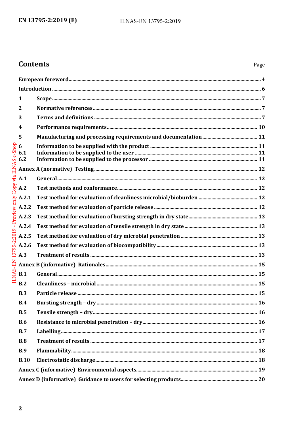## **Contents**

| 1               |  |  |  |  |
|-----------------|--|--|--|--|
| $\mathbf{2}$    |  |  |  |  |
| 3               |  |  |  |  |
| 4               |  |  |  |  |
| 5               |  |  |  |  |
| 6<br>6.1<br>6.2 |  |  |  |  |
|                 |  |  |  |  |
| A.1             |  |  |  |  |
| $+A.2$          |  |  |  |  |
| A.2.1           |  |  |  |  |
| A.2.2           |  |  |  |  |
| A.2.3           |  |  |  |  |
| A.2.4           |  |  |  |  |
| A.2.5           |  |  |  |  |
| A.2.6           |  |  |  |  |
| A.3             |  |  |  |  |
|                 |  |  |  |  |
| B.1             |  |  |  |  |
| B.2             |  |  |  |  |
| B.3             |  |  |  |  |
| B.4             |  |  |  |  |
| B.5             |  |  |  |  |
| <b>B.6</b>      |  |  |  |  |
| B.7             |  |  |  |  |
| B.8             |  |  |  |  |
| <b>B.9</b>      |  |  |  |  |
| <b>B.10</b>     |  |  |  |  |
|                 |  |  |  |  |
|                 |  |  |  |  |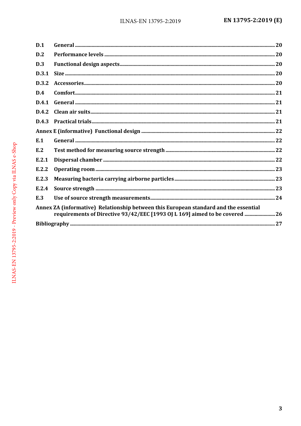| D.1   |                                                                                                                                                                    |  |
|-------|--------------------------------------------------------------------------------------------------------------------------------------------------------------------|--|
| D.2   |                                                                                                                                                                    |  |
| D.3   |                                                                                                                                                                    |  |
| D.3.1 |                                                                                                                                                                    |  |
| D.3.2 |                                                                                                                                                                    |  |
| D.4   |                                                                                                                                                                    |  |
| D.4.1 |                                                                                                                                                                    |  |
| D.4.2 |                                                                                                                                                                    |  |
| D.4.3 |                                                                                                                                                                    |  |
|       |                                                                                                                                                                    |  |
| E.1   |                                                                                                                                                                    |  |
| E.2   |                                                                                                                                                                    |  |
| E.2.1 |                                                                                                                                                                    |  |
| E.2.2 |                                                                                                                                                                    |  |
| E.2.3 |                                                                                                                                                                    |  |
| E.2.4 |                                                                                                                                                                    |  |
| E.3   |                                                                                                                                                                    |  |
|       | Annex ZA (informative) Relationship between this European standard and the essential<br>requirements of Directive 93/42/EEC [1993 OJ L 169] aimed to be covered 26 |  |
|       |                                                                                                                                                                    |  |
|       |                                                                                                                                                                    |  |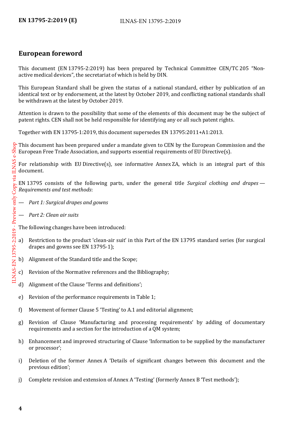## <span id="page-5-0"></span>**European foreword**

This document (EN 13795-2:2019) has been prepared by Technical Committee CEN/TC 205 "Nonactive medical devices", the secretariat of which is held by DIN.

This European Standard shall be given the status of a national standard, either by publication of an identical text or by endorsement, at the latest by October 2019, and conflicting national standards shall be withdrawn at the latest by October 2019.

Attention is drawn to the possibility that some of the elements of this document may be the subject of patent rights. CEN shall not be held responsible for identifying any or all such patent rights.

Together with EN 13795-1:2019, this document supersedes EN 13795:2011+A1:2013.

<sup>2</sup> This document has been prepared under a mandate given to CEN by the European Commission and the European Free Trade Association, and supports essential requirements of EU Directive(s).

For relationship with EU Directive(s), see informative Annex ZA, which is an integral part of this document.

EN 13795 consists of the following parts, under the general title *Surgical clothing and drapes — Requirements and test methods*:

- *Part 1: Surgical drapes and gowns*
- *Part 2: Clean air suits*

The following changes have been introduced:

- a) Restriction to the product 'clean-air suit' in this Part of the EN 13795 standard series (for surgical drapes and gowns see EN 13795-1);
- b) Alignment of the Standard title and the Scope;
- c) Revision of the Normative references and the Bibliography;
- d) Alignment of the Clause 'Terms and definitions';
- e) Revision of the performance requirements in Table 1;
- f) Movement of former Clause 5 'Testing' to A.1 and editorial alignment;
- g) Revision of Clause 'Manufacturing and processing requirements' by adding of documentary requirements and a section for the introduction of a QM system;
- h) Enhancement and improved structuring of Clause 'Information to be supplied by the manufacturer or processor';
- i) Deletion of the former Annex A 'Details of significant changes between this document and the previous edition';
- j) Complete revision and extension of Annex A 'Testing' (formerly Annex B 'Test methods');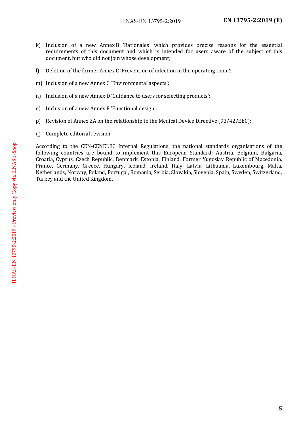- k) Inclusion of a new Annex B 'Rationales' which provides precise reasons for the essential requirements of this document and which is intended for users aware of the subject of this document, but who did not join whose development;
- l) Deletion of the former Annex C 'Prevention of infection in the operating room';
- m) Inclusion of a new Annex C 'Environmental aspects';
- n) Inclusion of a new Annex D 'Guidance to users for selecting products';
- o) Inclusion of a new Annex E 'Functional design';
- p) Revision of Annex ZA on the relationship to the Medical Device Directive (93/42/EEC);
- q) Complete editorial revision.

According to the CEN-CENELEC Internal Regulations, the national standards organisations of the following countries are bound to implement this European Standard: Austria, Belgium, Bulgaria, Croatia, Cyprus, Czech Republic, Denmark, Estonia, Finland, Former Yugoslav Republic of Macedonia, France, Germany, Greece, Hungary, Iceland, Ireland, Italy, Latvia, Lithuania, Luxembourg, Malta, Netherlands, Norway, Poland, Portugal, Romania, Serbia, Slovakia, Slovenia, Spain, Sweden, Switzerland, Turkey and the United Kingdom.